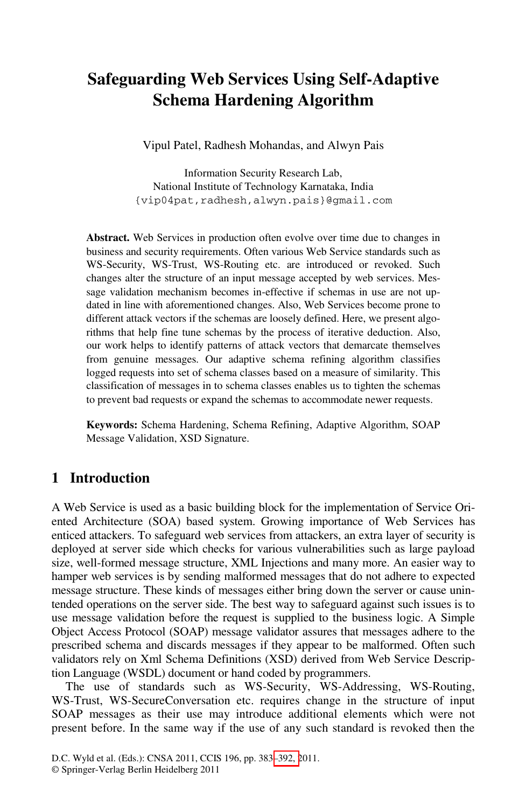## **Safeguarding Web Services Using Self-Adaptive Schema Hardening Algorithm**

Vipul Patel, Radhesh Mohandas, and Alwyn Pais

Information Security Research Lab, National Institute of Technology Karnataka, India {vip04pat,radhesh,alwyn.pais}@gmail.com

**Abstract.** Web Services in production often evolve over time due to changes in business and security requirements. Often various Web Service standards such as WS-Security, WS-Trust, WS-Routing etc. are introduced or revoked. Such changes alter the structure of an input message accepted by web services. Message validation mechanism becomes in-effective if schemas in use are not updated in line with aforementioned changes. Also, Web Services become prone to different attack vectors if the schemas are loosely defined. Here, we present algorithms that help fine tune schemas by the process of iterative deduction. Also, our work helps to identify patterns of attack vectors that demarcate themselves from genuine messages. Our adaptive schema refining algorithm classifies logged requests into set of schema classes based on a measure of similarity. This classification of messages in to schema classes enables us to tighten the schemas to prevent bad requests or expand the schemas to accommodate newer requests.

**Keywords:** Schema Hardening, Schema Refining, Adaptive Algorithm, SOAP Message Validation, XSD Signature.

## **1 Introduction**

A Web Service is used as a basic building block for the implementation of Service Oriented Architecture (SOA) based system. Growing importance of Web Services has enticed attackers. To safeguard web services from attackers, an extra layer of security is deployed at server side which checks for various vulnerabilities such as large payload size, well-formed message structure, XML Injections and many more. An easier way to hamper web services is by sending malformed messages that do not adhere to expected message structure. These kinds of messages either bring down the server or cause unintended operations on the server side. The best way to safeguard against such issues is to use message validation before the request is supplied to the business logic. A Simple Object Access Protocol (SOAP) message validator assures that messages adhere to the prescribed schema and discards messages if they appear to be malformed. Often such validators rely on Xml Schema Definitions (XSD) derived from Web Service Description Language (WSDL) document or hand coded by programmers.

The use of standards such as WS-Security, WS-Addressing, WS-Routing, WS-Trust, WS-SecureConversation etc. requires change in the structure of input SOAP messages as their use may introduce additional elements which were not present before. In the same way if the use of any such standard is revoked then the